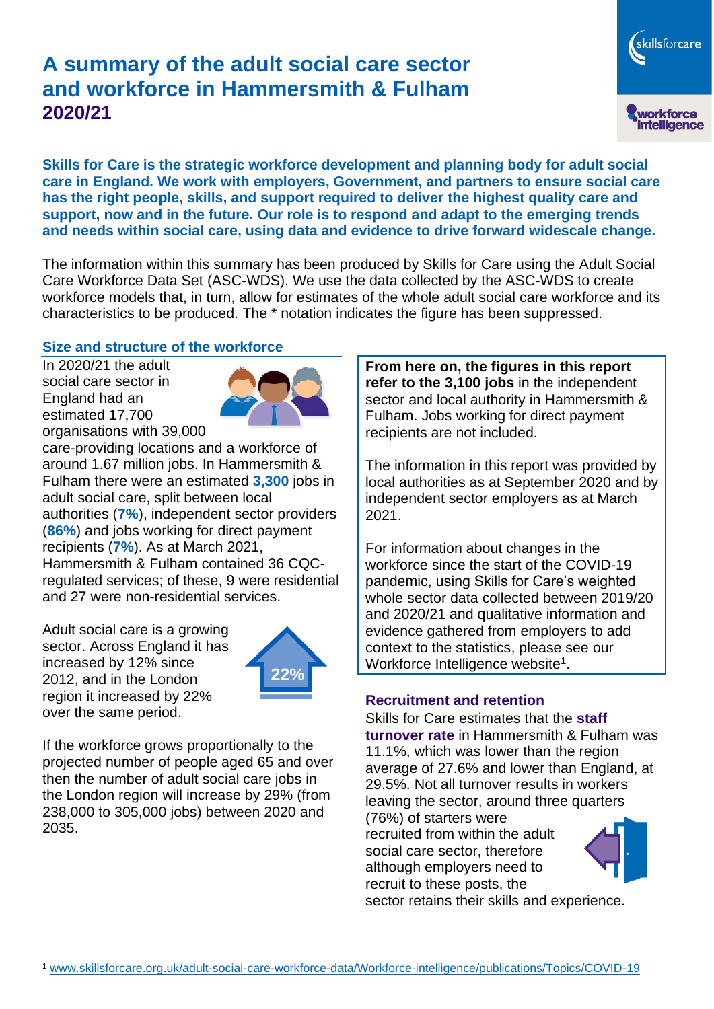# **A summary of the adult social care sector and workforce in Hammersmith & Fulham 2020/21**



**Skills for Care is the strategic workforce development and planning body for adult social care in England. We work with employers, Government, and partners to ensure social care has the right people, skills, and support required to deliver the highest quality care and support, now and in the future. Our role is to respond and adapt to the emerging trends and needs within social care, using data and evidence to drive forward widescale change.**

The information within this summary has been produced by Skills for Care using the Adult Social Care Workforce Data Set (ASC-WDS). We use the data collected by the ASC-WDS to create workforce models that, in turn, allow for estimates of the whole adult social care workforce and its characteristics to be produced. The \* notation indicates the figure has been suppressed.

#### **Size and structure of the workforce**

In 2020/21 the adult social care sector in England had an estimated 17,700 organisations with 39,000



care-providing locations and a workforce of around 1.67 million jobs. In Hammersmith & Fulham there were an estimated **3,300** jobs in adult social care, split between local authorities (**7%**), independent sector providers (**86%**) and jobs working for direct payment recipients (**7%**). As at March 2021, Hammersmith & Fulham contained 36 CQCregulated services; of these, 9 were residential and 27 were non-residential services.

Adult social care is a growing sector. Across England it has increased by 12% since 2012, and in the London region it increased by 22% over the same period.



If the workforce grows proportionally to the projected number of people aged 65 and over then the number of adult social care jobs in the London region will increase by 29% (from 238,000 to 305,000 jobs) between 2020 and 2035.

**From here on, the figures in this report refer to the 3,100 jobs** in the independent sector and local authority in Hammersmith & Fulham. Jobs working for direct payment recipients are not included.

The information in this report was provided by local authorities as at September 2020 and by independent sector employers as at March 2021.

For information about changes in the workforce since the start of the COVID-19 pandemic, using Skills for Care's weighted whole sector data collected between 2019/20 and 2020/21 and qualitative information and evidence gathered from employers to add context to the statistics, please see our Workforce Intelligence website<sup>1</sup>.

#### **Recruitment and retention**

Skills for Care estimates that the **staff turnover rate** in Hammersmith & Fulham was 11.1%, which was lower than the region average of 27.6% and lower than England, at 29.5%. Not all turnover results in workers leaving the sector, around three quarters

(76%) of starters were recruited from within the adult social care sector, therefore although employers need to recruit to these posts, the sector retains their skills and experience.

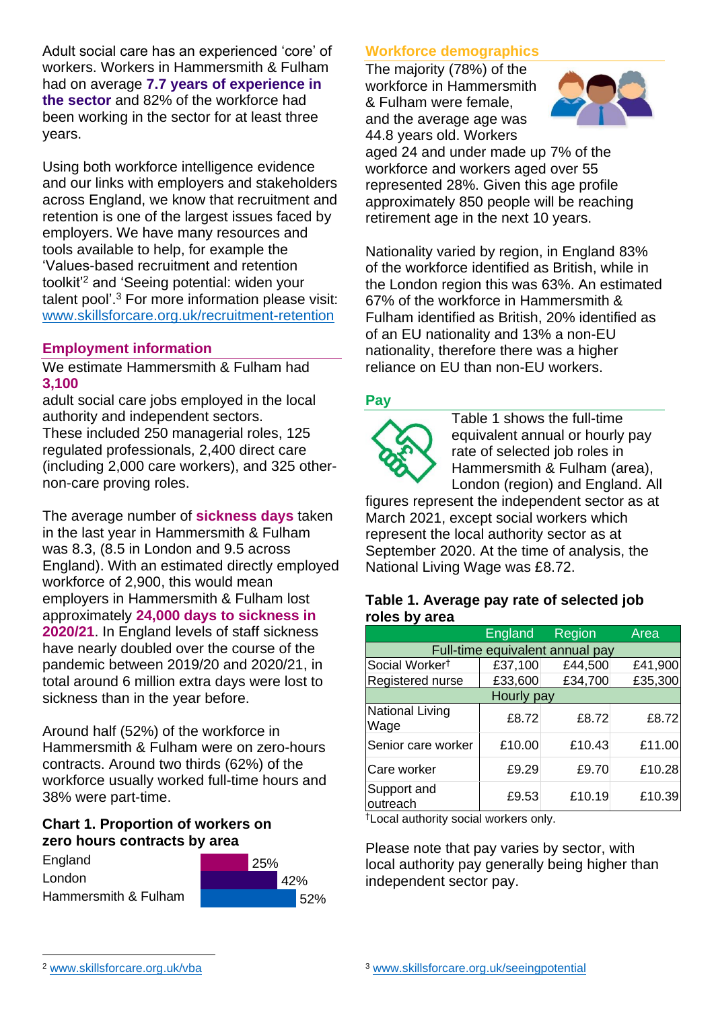Adult social care has an experienced 'core' of workers. Workers in Hammersmith & Fulham had on average **7.7 years of experience in the sector** and 82% of the workforce had been working in the sector for at least three years.

Using both workforce intelligence evidence and our links with employers and stakeholders across England, we know that recruitment and retention is one of the largest issues faced by employers. We have many resources and tools available to help, for example the 'Values-based recruitment and retention toolkit'<sup>2</sup> and 'Seeing potential: widen your talent pool'. <sup>3</sup> For more information please visit: [www.skillsforcare.org.uk/recruitment-retention](http://www.skillsforcare.org.uk/recruitment-retention)

## **Employment information**

We estimate Hammersmith & Fulham had **3,100**

adult social care jobs employed in the local authority and independent sectors. These included 250 managerial roles, 125 regulated professionals, 2,400 direct care (including 2,000 care workers), and 325 othernon-care proving roles.

The average number of **sickness days** taken in the last year in Hammersmith & Fulham was 8.3, (8.5 in London and 9.5 across England). With an estimated directly employed workforce of 2,900, this would mean employers in Hammersmith & Fulham lost approximately **24,000 days to sickness in 2020/21**. In England levels of staff sickness have nearly doubled over the course of the pandemic between 2019/20 and 2020/21, in total around 6 million extra days were lost to sickness than in the year before.

Around half (52%) of the workforce in Hammersmith & Fulham were on zero-hours contracts. Around two thirds (62%) of the workforce usually worked full-time hours and 38% were part-time.

#### **Chart 1. Proportion of workers on zero hours contracts by area**

England London Hammersmith & Fulham



## **Workforce demographics**

The majority (78%) of the workforce in Hammersmith & Fulham were female, and the average age was 44.8 years old. Workers



aged 24 and under made up 7% of the workforce and workers aged over 55 represented 28%. Given this age profile approximately 850 people will be reaching retirement age in the next 10 years.

Nationality varied by region, in England 83% of the workforce identified as British, while in the London region this was 63%. An estimated 67% of the workforce in Hammersmith & Fulham identified as British, 20% identified as of an EU nationality and 13% a non-EU nationality, therefore there was a higher reliance on EU than non-EU workers.

#### **Pay**



Table 1 shows the full-time equivalent annual or hourly pay rate of selected job roles in Hammersmith & Fulham (area), London (region) and England. All

figures represent the independent sector as at March 2021, except social workers which represent the local authority sector as at September 2020. At the time of analysis, the National Living Wage was £8.72.

#### **Table 1. Average pay rate of selected job roles by area**

|                                 | England | <b>Region</b> | Area    |
|---------------------------------|---------|---------------|---------|
| Full-time equivalent annual pay |         |               |         |
| Social Worker <sup>t</sup>      | £37,100 | £44,500       | £41,900 |
| Registered nurse                | £33,600 | £34,700       | £35,300 |
| Hourly pay                      |         |               |         |
| National Living<br>Wage         | £8.72   | £8.72         | £8.72   |
| Senior care worker              | £10.00  | £10.43        | £11.00  |
| Care worker                     | £9.29   | £9.70         | £10.28  |
| Support and<br>outreach         | £9.53   | £10.19        | £10.39  |

†Local authority social workers only.

Please note that pay varies by sector, with local authority pay generally being higher than independent sector pay.

[www.skillsforcare.org.uk/vba](http://www.skillsforcare.org.uk/vba)